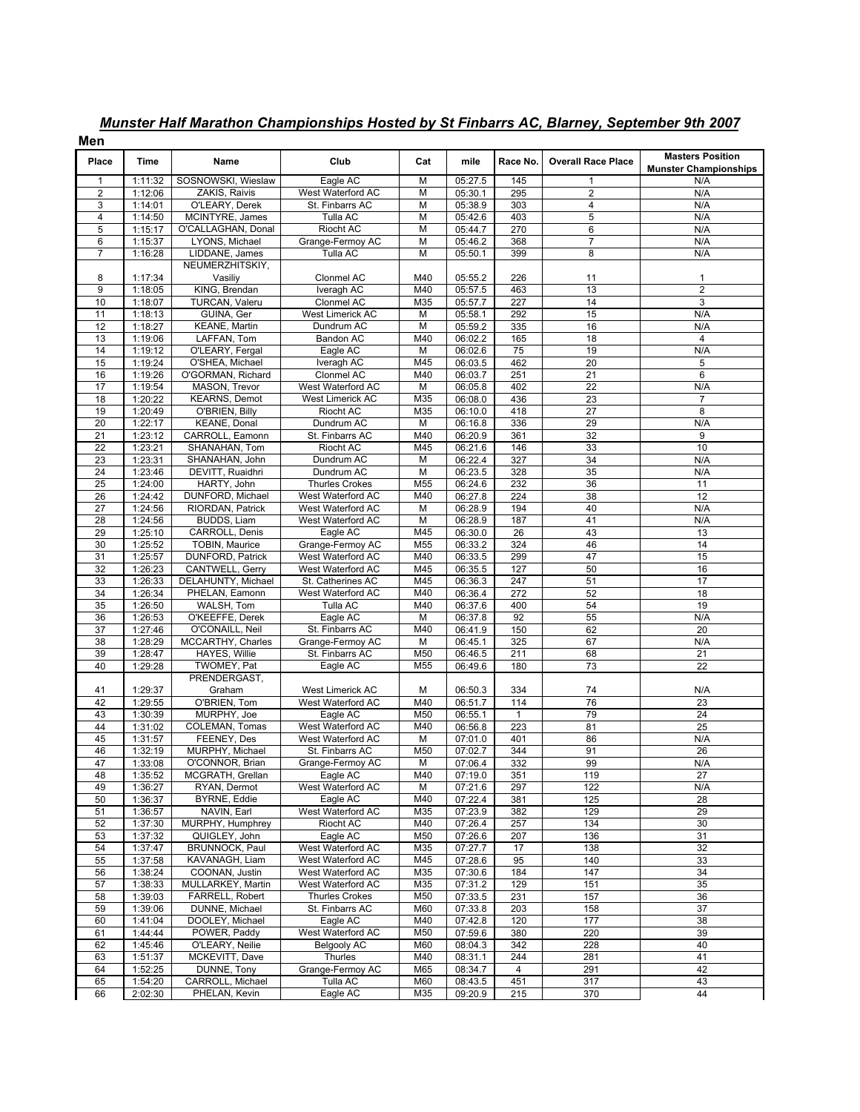| Men              |                    |                                           |                                        |                     |                    |                        |                           |                                                         |
|------------------|--------------------|-------------------------------------------|----------------------------------------|---------------------|--------------------|------------------------|---------------------------|---------------------------------------------------------|
| Place            | Time               | Name                                      | Club                                   | Cat                 | mile               | Race No.               | <b>Overall Race Place</b> | <b>Masters Position</b><br><b>Munster Championships</b> |
| -1               | 1:11:32            | SOSNOWSKI, Wieslaw                        | Eagle AC                               | M                   | 05:27.5            | 145                    | 1                         | N/A                                                     |
| $\boldsymbol{2}$ | 1:12:06            | ZAKIS, Raivis                             | West Waterford AC                      | M                   | 05:30.1            | 295                    | $\overline{2}$            | N/A                                                     |
| 3<br>4           | 1:14:01<br>1:14:50 | O'LEARY, Derek<br>MCINTYRE, James         | St. Finbarrs AC<br>Tulla AC            | M<br>$\overline{M}$ | 05:38.9<br>05:42.6 | 303<br>403             | 4<br>$\overline{5}$       | N/A<br>N/A                                              |
| 5                | 1:15:17            | O'CALLAGHAN, Donal                        | Riocht AC                              | M                   | 05:44.7            | 270                    | 6                         | N/A                                                     |
| 6                | 1:15:37            | LYONS, Michael                            | Grange-Fermoy AC                       | M                   | 05:46.2            | 368                    | $\overline{7}$            | N/A                                                     |
| $\overline{7}$   | 1:16:28            | LIDDANE, James                            | Tulla AC                               | M                   | 05:50.1            | 399                    | 8                         | N/A                                                     |
|                  |                    | NEUMERZHITSKIY,                           |                                        |                     |                    |                        |                           |                                                         |
| 8                | 1:17:34            | Vasiliy                                   | Clonmel AC                             | M40                 | 05:55.2            | 226                    | 11                        | 1                                                       |
| 9                | 1:18:05            | KING, Brendan                             | Iveragh AC                             | M40                 | 05:57.5            | 463                    | 13                        | $\overline{2}$                                          |
| 10               | 1:18:07            | TURCAN, Valeru                            | Clonmel AC                             | M35                 | 05:57.7            | 227                    | 14                        | 3                                                       |
| 11<br>12         | 1:18:13<br>1:18:27 | GUINA, Ger<br><b>KEANE, Martin</b>        | West Limerick AC<br>Dundrum AC         | M<br>M              | 05:58.1<br>05:59.2 | 292<br>335             | 15<br>16                  | N/A<br>N/A                                              |
| 13               | 1:19:06            | LAFFAN, Tom                               | Bandon AC                              | M40                 | 06:02.2            | 165                    | 18                        | $\overline{4}$                                          |
| 14               | 1:19:12            | O'LEARY, Fergal                           | Eagle AC                               | M                   | 06:02.6            | 75                     | 19                        | N/A                                                     |
| 15               | 1:19:24            | O'SHEA, Michael                           | Iveragh AC                             | M45                 | 06:03.5            | 462                    | 20                        | 5                                                       |
| 16               | 1:19:26            | O'GORMAN, Richard                         | Clonmel AC                             | M40                 | 06:03.7            | 251                    | $\overline{21}$           | 6                                                       |
| 17               | 1:19:54            | MASON, Trevor                             | West Waterford AC                      | M                   | 06:05.8            | 402                    | $\overline{22}$           | N/A                                                     |
| 18               | 1:20:22            | <b>KEARNS, Demot</b>                      | <b>West Limerick AC</b>                | M35                 | 06:08.0            | 436                    | 23                        | $\overline{7}$                                          |
| 19               | 1:20:49            | O'BRIEN, Billy                            | Riocht AC                              | M35                 | 06:10.0            | 418                    | $\overline{27}$           | 8                                                       |
| 20<br>21         | 1:22:17<br>1:23:12 | KEANE, Donal<br>CARROLL, Eamonn           | Dundrum AC<br>St. Finbarrs AC          | M<br>M40            | 06:16.8<br>06:20.9 | 336<br>361             | 29<br>32                  | N/A<br>9                                                |
| 22               | 1:23:21            | SHANAHAN, Tom                             | Riocht AC                              | M45                 | 06:21.6            | 146                    | 33                        | 10                                                      |
| 23               | 1:23:31            | SHANAHAN, John                            | Dundrum AC                             | M                   | 06:22.4            | 327                    | 34                        | N/A                                                     |
| 24               | 1:23:46            | DEVITT, Ruaidhri                          | Dundrum AC                             | M                   | 06:23.5            | 328                    | 35                        | N/A                                                     |
| 25               | 1:24:00            | HARTY, John                               | <b>Thurles Crokes</b>                  | M55                 | 06:24.6            | 232                    | 36                        | 11                                                      |
| $\overline{26}$  | 1:24:42            | DUNFORD, Michael                          | West Waterford AC                      | M40                 | 06:27.8            | 224                    | 38                        | 12                                                      |
| 27               | 1:24:56            | RIORDAN, Patrick                          | West Waterford AC                      | M                   | 06:28.9            | 194                    | 40                        | N/A                                                     |
| 28               | 1:24:56            | BUDDS, Liam                               | West Waterford AC                      | M                   | 06:28.9            | 187                    | 41                        | N/A                                                     |
| 29<br>30         | 1:25:10<br>1:25:52 | CARROLL, Denis<br>TOBIN, Maurice          | Eagle AC<br>Grange-Fermoy AC           | M45<br>M55          | 06:30.0<br>06:33.2 | $\overline{26}$<br>324 | 43<br>46                  | 13<br>14                                                |
| 31               | 1:25:57            | DUNFORD, Patrick                          | West Waterford AC                      | M40                 | 06:33.5            | 299                    | 47                        | 15                                                      |
| 32               | 1:26:23            | CANTWELL, Gerry                           | West Waterford AC                      | M45                 | 06:35.5            | 127                    | 50                        | 16                                                      |
| 33               | 1:26:33            | <b>DELAHUNTY, Michael</b>                 | St. Catherines AC                      | M45                 | 06:36.3            | 247                    | 51                        | 17                                                      |
| 34               | 1:26:34            | PHELAN, Eamonn                            | West Waterford AC                      | M40                 | 06:36.4            | 272                    | 52                        | 18                                                      |
| 35               | 1:26:50            | WALSH, Tom                                | Tulla AC                               | M40                 | 06:37.6            | 400                    | 54                        | 19                                                      |
| 36               | 1:26:53            | O'KEEFFE, Derek                           | Eagle AC                               | M                   | 06:37.8            | 92                     | 55                        | N/A                                                     |
| 37               | 1:27:46            | O'CONAILL, Neil                           | St. Finbarrs AC<br>Grange-Fermoy AC    | M40                 | 06:41.9            | 150                    | 62                        | 20                                                      |
| 38<br>39         | 1:28:29<br>1:28:47 | MCCARTHY, Charles<br><b>HAYES, Willie</b> | St. Finbarrs AC                        | M<br>M50            | 06:45.1<br>06:46.5 | 325<br>211             | 67<br>68                  | N/A<br>$\overline{21}$                                  |
| 40               | 1:29:28            | TWOMEY, Pat                               | Eagle AC                               | M55                 | 06:49.6            | 180                    | 73                        | 22                                                      |
|                  |                    | PRENDERGAST,                              |                                        |                     |                    |                        |                           |                                                         |
| 41               | 1:29:37            | Graham                                    | <b>West Limerick AC</b>                | M                   | 06:50.3            | 334                    | 74                        | N/A                                                     |
| 42               | 1:29:55            | O'BRIEN, Tom                              | West Waterford AC                      | M40                 | 06:51.7            | 114                    | 76                        | 23                                                      |
| 43               | 1:30:39            | MURPHY, Joe                               | Eagle AC                               | M50                 | 06:55.1            | $\mathbf{1}$           | 79                        | 24                                                      |
| 44               | 1:31:02            | COLEMAN, Tomas                            | West Waterford AC                      | M40                 | 06:56.8            | 223                    | 81                        | 25                                                      |
| 45<br>46         | 1:31:57            | FEENEY, Des                               | West Waterford AC                      | M<br>M50            | 07:01.0            | 401                    | 86<br>91                  | N/A                                                     |
| 47               | 1:32:19<br>1:33:08 | MURPHY, Michael<br>O'CONNOR, Brian        | St. Finbarrs AC<br>Grange-Fermoy AC    | м                   | 07:02.7<br>07:06.4 | 344<br>332             | 99                        | 26<br>N/A                                               |
| 48               | 1:35:52            | MCGRATH, Grellan                          | Eagle AC                               | M40                 | 07:19.0            | 351                    | 119                       | 27                                                      |
| 49               | 1:36:27            | RYAN, Dermot                              | West Waterford AC                      | M                   | 07:21.6            | 297                    | 122                       | N/A                                                     |
| 50               | 1:36:37            | BYRNE, Eddie                              | Eagle AC                               | M40                 | 07:22.4            | 381                    | 125                       | 28                                                      |
| 51               | 1:36:57            | NAVIN, Earl                               | West Waterford AC                      | M35                 | 07:23.9            | 382                    | 129                       | 29                                                      |
| 52               | 1:37:30            | MURPHY, Humphrey                          | Riocht AC                              | M40                 | 07:26.4            | 257                    | 134                       | 30                                                      |
| 53               | 1:37:32            | QUIGLEY, John                             | Eagle AC                               | M50                 | 07:26.6            | 207                    | 136                       | 31                                                      |
| 54               | 1:37:47            | <b>BRUNNOCK, Paul</b>                     | West Waterford AC                      | M35                 | 07:27.7            | 17                     | 138                       | 32                                                      |
| 55<br>56         | 1:37:58<br>1:38:24 | KAVANAGH, Liam<br>COONAN, Justin          | West Waterford AC<br>West Waterford AC | M45<br>M35          | 07:28.6<br>07:30.6 | 95<br>184              | 140<br>147                | 33<br>34                                                |
| 57               | 1:38:33            | MULLARKEY, Martin                         | West Waterford AC                      | M35                 | 07:31.2            | 129                    | 151                       | 35                                                      |
| 58               | 1:39:03            | FARRELL, Robert                           | <b>Thurles Crokes</b>                  | M50                 | 07:33.5            | 231                    | 157                       | 36                                                      |
| 59               | 1:39:06            | DUNNE, Michael                            | St. Finbarrs AC                        | M60                 | 07:33.8            | 203                    | 158                       | 37                                                      |
| 60               | 1:41:04            | DOOLEY, Michael                           | Eagle AC                               | M40                 | 07:42.8            | 120                    | 177                       | 38                                                      |
| 61               | 1:44:44            | POWER, Paddy                              | West Waterford AC                      | M50                 | 07:59.6            | 380                    | 220                       | 39                                                      |
| 62               | 1:45:46            | O'LEARY, Neilie                           | <b>Belgooly AC</b>                     | M60                 | 08:04.3            | 342                    | 228                       | 40                                                      |
| 63               | 1:51:37            | MCKEVITT, Dave<br>DUNNE, Tony             | Thurles<br>Grange-Fermoy AC            | M40<br>M65          | 08:31.1            | 244                    | 281                       | 41                                                      |
| 64<br>65         | 1:52:25<br>1:54:20 | CARROLL, Michael                          | Tulla AC                               | M60                 | 08:34.7<br>08:43.5 | 4<br>451               | 291<br>317                | 42<br>43                                                |
| 66               | 2:02:30            | PHELAN, Kevin                             | Eagle AC                               | M35                 | 09:20.9            | 215                    | 370                       | 44                                                      |

## Munster Half Marathon Championships Hosted by St Finbarrs AC, Blarney, September 9th 2007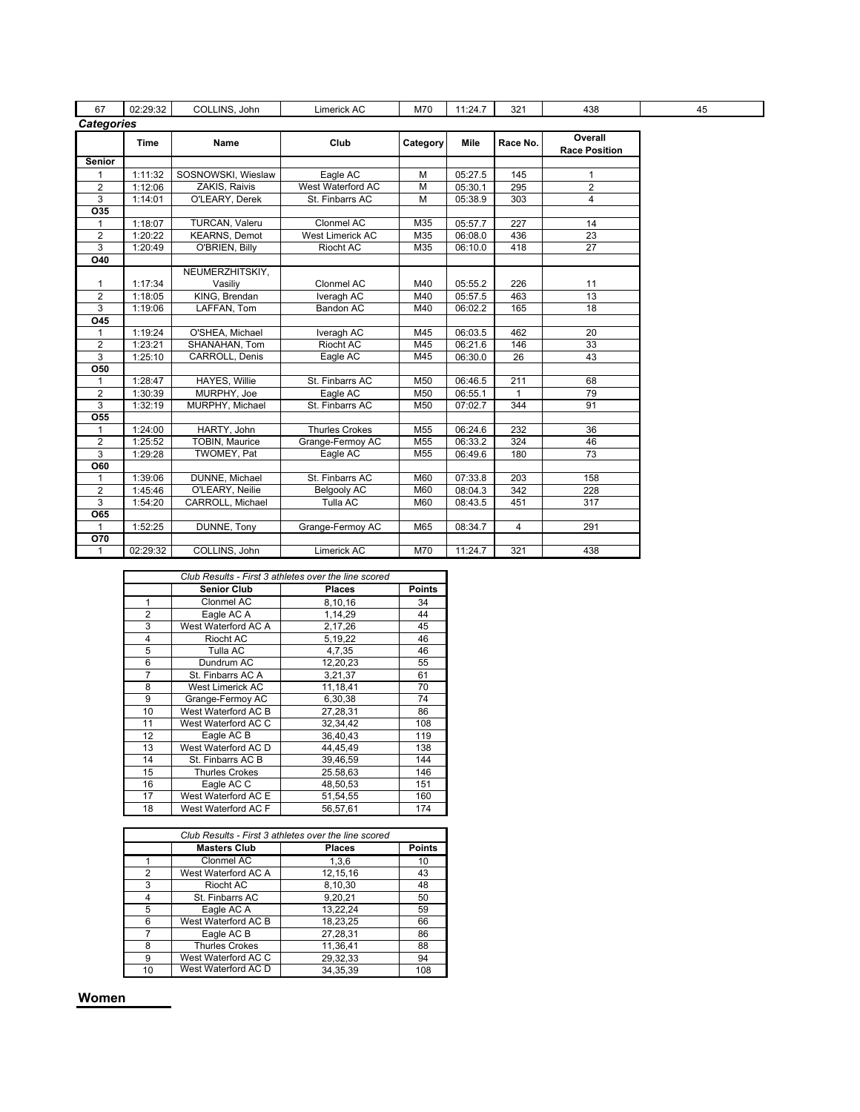| 67                | 02:29:32    | COLLINS, John         | Limerick AC           | M70             | 11:24.7 | 321      | 438                             | 45 |
|-------------------|-------------|-----------------------|-----------------------|-----------------|---------|----------|---------------------------------|----|
| <b>Categories</b> |             |                       |                       |                 |         |          |                                 |    |
|                   | <b>Time</b> | Name                  | Club                  | Category        | Mile    | Race No. | Overall<br><b>Race Position</b> |    |
| <b>Senior</b>     |             |                       |                       |                 |         |          |                                 |    |
|                   | 1:11:32     | SOSNOWSKI, Wieslaw    | Eagle AC              | M               | 05:27.5 | 145      | 1                               |    |
| $\overline{2}$    | 1:12:06     | ZAKIS, Raivis         | West Waterford AC     | M               | 05:30.1 | 295      | $\overline{2}$                  |    |
| 3                 | 1:14:01     | O'LEARY, Derek        | St. Finbarrs AC       | M               | 05:38.9 | 303      | $\overline{4}$                  |    |
| O35               |             |                       |                       |                 |         |          |                                 |    |
| 1                 | 1:18:07     | TURCAN, Valeru        | Clonmel AC            | M35             | 05:57.7 | 227      | 14                              |    |
| $\overline{2}$    | 1:20:22     | <b>KEARNS, Demot</b>  | West Limerick AC      | M35             | 06:08.0 | 436      | 23                              |    |
| 3                 | 1:20:49     | O'BRIEN, Billy        | Riocht AC             | M35             | 06:10.0 | 418      | 27                              |    |
| O40               |             |                       |                       |                 |         |          |                                 |    |
|                   |             | NEUMERZHITSKIY,       |                       |                 |         |          |                                 |    |
| 1                 | 1:17:34     | Vasiliy               | Clonmel AC            | M40             | 05:55.2 | 226      | 11                              |    |
| $\overline{2}$    | 1:18:05     | KING, Brendan         | Iveragh AC            | M40             | 05:57.5 | 463      | 13                              |    |
| 3                 | 1:19:06     | LAFFAN, Tom           | Bandon AC             | M40             | 06:02.2 | 165      | $\overline{18}$                 |    |
| $\overline{045}$  |             |                       |                       |                 |         |          |                                 |    |
| 1                 | 1:19:24     | O'SHEA, Michael       | Iveragh AC            | M45             | 06:03.5 | 462      | 20                              |    |
| $\overline{2}$    | 1:23:21     | SHANAHAN, Tom         | Riocht AC             | M45             | 06:21.6 | 146      | 33                              |    |
| 3                 | 1:25:10     | <b>CARROLL, Denis</b> | Eagle AC              | M45             | 06:30.0 | 26       | 43                              |    |
| <b>O50</b>        |             |                       |                       |                 |         |          |                                 |    |
| 1                 | 1:28:47     | <b>HAYES, Willie</b>  | St. Finbarrs AC       | M50             | 06:46.5 | 211      | 68                              |    |
| $\overline{2}$    | 1:30:39     | MURPHY, Joe           | Eagle AC              | M50             | 06:55.1 | 1        | 79                              |    |
| 3                 | 1:32:19     | MURPHY, Michael       | St. Finbarrs AC       | M50             | 07:02.7 | 344      | 91                              |    |
| O55               |             |                       |                       |                 |         |          |                                 |    |
| 1                 | 1:24:00     | HARTY, John           | <b>Thurles Crokes</b> | M <sub>55</sub> | 06:24.6 | 232      | 36                              |    |
| $\overline{2}$    | 1:25:52     | TOBIN, Maurice        | Grange-Fermoy AC      | M <sub>55</sub> | 06:33.2 | 324      | 46                              |    |
| 3                 | 1:29:28     | TWOMEY, Pat           | Eagle AC              | M <sub>55</sub> | 06:49.6 | 180      | 73                              |    |
| <b>O60</b>        |             |                       |                       |                 |         |          |                                 |    |
| 1                 | 1:39:06     | DUNNE, Michael        | St. Finbarrs AC       | M60             | 07:33.8 | 203      | 158                             |    |
| $\overline{2}$    | 1:45:46     | O'LEARY, Neilie       | <b>Belgooly AC</b>    | M60             | 08:04.3 | 342      | 228                             |    |
| 3                 | 1:54:20     | CARROLL, Michael      | Tulla AC              | M60             | 08:43.5 | 451      | 317                             |    |
| <b>O65</b>        |             |                       |                       |                 |         |          |                                 |    |
|                   | 1:52:25     | DUNNE, Tony           | Grange-Fermoy AC      | M65             | 08:34.7 | 4        | 291                             |    |
| O70               |             |                       |                       |                 |         |          |                                 |    |
| 1                 | 02:29:32    | COLLINS, John         | Limerick AC           | M70             | 11:24.7 | 321      | 438                             |    |

|                |                       | Club Results - First 3 athletes over the line scored |               |
|----------------|-----------------------|------------------------------------------------------|---------------|
|                | <b>Senior Club</b>    | <b>Places</b>                                        | <b>Points</b> |
| 1              | Clonmel AC            | 8,10,16                                              | 34            |
| $\overline{2}$ | Eagle AC A            | 1,14,29                                              | 44            |
| 3              | West Waterford AC A   | 2,17,26                                              | 45            |
| 4              | Riocht AC             | 5,19,22                                              | 46            |
| 5              | Tulla AC              | 4.7.35                                               | 46            |
| 6              | Dundrum AC            | 12,20,23                                             | 55            |
| 7              | St. Finbarrs AC A     | 3,21,37                                              | 61            |
| 8              | West Limerick AC      | 11,18,41                                             | 70            |
| 9              | Grange-Fermoy AC      | 6,30,38                                              | 74            |
| 10             | West Waterford AC B   | 27.28.31                                             | 86            |
| 11             | West Waterford AC C   | 32,34,42                                             | 108           |
| 12             | Eagle AC B            | 36,40,43                                             | 119           |
| 13             | West Waterford AC D   | 44,45,49                                             | 138           |
| 14             | St. Finbarrs AC B     | 39,46,59                                             | 144           |
| 15             | <b>Thurles Crokes</b> | 25.58,63                                             | 146           |
| 16             | Eagle AC C            | 48.50.53                                             | 151           |
| 17             | West Waterford AC E   | 51,54,55                                             | 160           |
| 18             | West Waterford AC F   | 56.57.61                                             | 174           |

|    | Club Results - First 3 athletes over the line scored |               |               |  |  |  |
|----|------------------------------------------------------|---------------|---------------|--|--|--|
|    | <b>Masters Club</b>                                  | <b>Places</b> | <b>Points</b> |  |  |  |
|    | Clonmel AC                                           | 1,3,6         | 10            |  |  |  |
| 2  | West Waterford AC A                                  | 12,15,16      | 43            |  |  |  |
| 3  | Riocht AC                                            | 8,10,30       | 48            |  |  |  |
| 4  | St. Finbarrs AC                                      | 9,20,21       | 50            |  |  |  |
| 5  | Eagle AC A                                           | 13,22,24      | 59            |  |  |  |
| 6  | West Waterford AC B                                  | 18,23,25      | 66            |  |  |  |
|    | Eagle AC B                                           | 27,28,31      | 86            |  |  |  |
| 8  | <b>Thurles Crokes</b>                                | 11,36,41      | 88            |  |  |  |
| 9  | West Waterford AC C                                  | 29,32,33      | 94            |  |  |  |
| 10 | West Waterford AC D                                  | 34,35,39      | 108           |  |  |  |

Women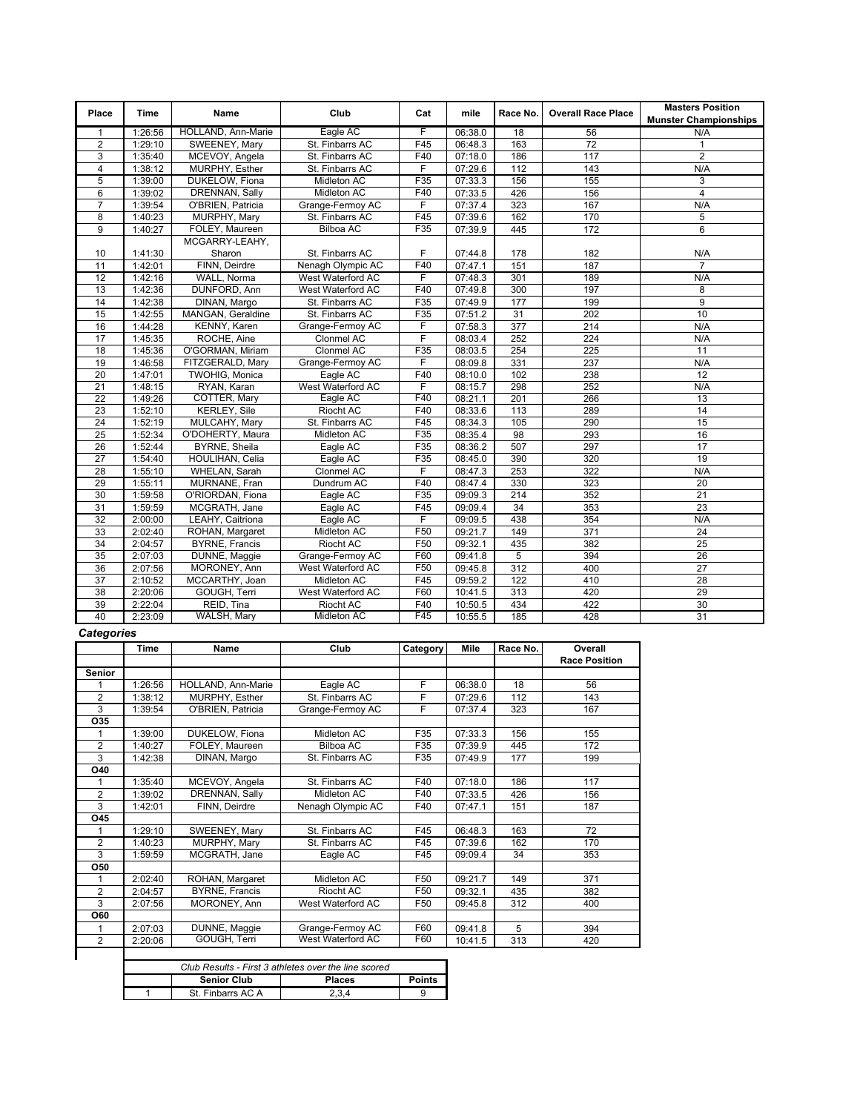| Place<br>$\mathbf{1}$<br>$\overline{2}$ | Time<br>1:26:56 | <b>Name</b>           | Club               | Cat             | mile    | Race No.         | <b>Overall Race Place</b> |                              |
|-----------------------------------------|-----------------|-----------------------|--------------------|-----------------|---------|------------------|---------------------------|------------------------------|
|                                         |                 |                       |                    |                 |         |                  |                           | <b>Munster Championships</b> |
|                                         |                 | HOLLAND, Ann-Marie    | Eagle AC           | F               | 06:38.0 | $\overline{18}$  | 56                        | N/A                          |
|                                         | 1:29:10         | SWEENEY, Mary         | St. Finbarrs AC    | F45             | 06:48.3 | 163              | 72                        | $\mathbf{1}$                 |
| 3                                       | 1:35:40         | MCEVOY, Angela        | St. Finbarrs AC    | F40             | 07:18.0 | 186              | 117                       | $\overline{2}$               |
| $\overline{4}$                          | 1:38:12         | MURPHY, Esther        | St. Finbarrs AC    | F               | 07:29.6 | 112              | 143                       | N/A                          |
| 5                                       | 1:39:00         | DUKELOW, Fiona        | Midleton AC        | F35             | 07:33.3 | 156              | 155                       | 3                            |
| 6                                       | 1:39:02         | DRENNAN, Sally        | Midleton AC        | F40             | 07:33.5 | 426              | 156                       | $\overline{\mathbf{4}}$      |
| $\overline{7}$                          | 1:39:54         | O'BRIEN, Patricia     | Grange-Fermoy AC   | F               | 07:37.4 | 323              | 167                       | N/A                          |
| 8                                       | 1:40:23         | MURPHY, Mary          | St. Finbarrs AC    | F45             | 07:39.6 | 162              | 170                       | 5                            |
| 9                                       | 1:40:27         | FOLEY, Maureen        | <b>Bilboa AC</b>   | F35             | 07:39.9 | 445              | 172                       | 6                            |
|                                         |                 | MCGARRY-LEAHY,        |                    |                 |         |                  |                           |                              |
| 10                                      | 1:41:30         | Sharon                | St. Finbarrs AC    | F               | 07:44.8 | 178              | 182                       | N/A                          |
| 11                                      | 1:42:01         | FINN, Deirdre         | Nenagh Olympic AC  | F40             | 07:47.1 | 151              | 187                       | $\overline{7}$               |
| 12                                      | 1:42:16         | WALL, Norma           | West Waterford AC  | F               | 07:48.3 | 301              | 189                       | N/A                          |
| 13                                      | 1:42:36         | DUNFORD, Ann          | West Waterford AC  | F40             | 07:49.8 | 300              | 197                       | 8                            |
| 14                                      | 1:42:38         | DINAN, Margo          | St. Finbarrs AC    | F35             | 07:49.9 | 177              | 199                       | $\overline{9}$               |
| 15                                      | 1:42:55         | MANGAN, Geraldine     | St. Finbarrs AC    | F35             | 07:51.2 | 31               | 202                       | 10                           |
| 16                                      | 1:44:28         | KENNY, Karen          | Grange-Fermoy AC   | F               | 07:58.3 | $\overline{377}$ | 214                       | N/A                          |
| 17                                      | 1:45:35         | ROCHE, Aine           | Clonmel AC         | F               | 08:03.4 | 252              | 224                       | N/A                          |
| 18                                      | 1:45:36         | O'GORMAN, Miriam      | Clonmel AC         | F35             | 08:03.5 | 254              | 225                       | 11                           |
| 19                                      | 1:46:58         | FITZGERALD, Mary      | Grange-Fermoy AC   | F               | 08:09.8 | 331              | 237                       | N/A                          |
| 20                                      | 1:47:01         | <b>TWOHIG, Monica</b> | Eagle AC           | F40             | 08:10.0 | 102              | 238                       | $\overline{12}$              |
| 21                                      | 1:48:15         | RYAN, Karan           | West Waterford AC  | F               | 08:15.7 | 298              | 252                       | N/A                          |
| 22                                      | 1:49:26         | COTTER, Mary          | Eagle AC           | F40             | 08:21.1 | 201              | 266                       | 13                           |
| 23                                      | 1:52:10         | <b>KERLEY, Sile</b>   | Riocht AC          | F40             | 08:33.6 | 113              | 289                       | $\overline{14}$              |
| $\overline{24}$                         | 1:52:19         | MULCAHY, Mary         | St. Finbarrs AC    | F45             | 08:34.3 | 105              | 290                       | 15                           |
| 25                                      | 1:52:34         | O'DOHERTY, Maura      | <b>Midleton AC</b> | F35             | 08:35.4 | 98               | 293                       | 16                           |
| 26                                      | 1:52:44         | <b>BYRNE, Sheila</b>  | Eagle AC           | F35             | 08:36.2 | 507              | 297                       | 17                           |
| 27                                      | 1:54:40         | HOULIHAN, Celia       | Eagle AC           | F35             | 08:45.0 | 390              | 320                       | 19                           |
| 28                                      | 1:55:10         | <b>WHELAN, Sarah</b>  | Clonmel AC         | F               | 08:47.3 | 253              | 322                       | N/A                          |
| 29                                      | 1:55:11         | MURNANE, Fran         | Dundrum AC         | F40             | 08:47.4 | 330              | 323                       | 20                           |
| 30                                      | 1:59:58         | O'RIORDAN, Fiona      | Eagle AC           | F35             | 09:09.3 | 214              | 352                       | 21                           |
| 31                                      | 1:59:59         | MCGRATH, Jane         | Eagle AC           | F45             | 09:09.4 | 34               | 353                       | 23                           |
| 32                                      | 2:00:00         | LEAHY, Caitriona      | Eagle AC           | F               | 09:09.5 | 438              | 354                       | N/A                          |
| 33                                      | 2:02:40         | ROHAN, Margaret       | Midleton AC        | F <sub>50</sub> | 09:21.7 | 149              | 371                       | 24                           |
| 34                                      | 2:04:57         | <b>BYRNE, Francis</b> | <b>Riocht AC</b>   | F <sub>50</sub> | 09:32.1 | 435              | 382                       | 25                           |
| 35                                      | 2:07:03         | DUNNE, Maggie         | Grange-Fermoy AC   | F60             | 09:41.8 | 5                | 394                       | 26                           |
| 36                                      | 2:07:56         | MORONEY, Ann          | West Waterford AC  | F <sub>50</sub> | 09:45.8 | 312              | 400                       | $\overline{27}$              |
| $\overline{37}$                         | 2:10:52         | MCCARTHY, Joan        | Midleton AC        | F45             | 09:59.2 | 122              | 410                       | 28                           |
| 38                                      | 2:20:06         | GOUGH, Terri          | West Waterford AC  | F60             | 10:41.5 | 313              | 420                       | 29                           |
| 39                                      | 2:22:04         | REID, Tina            | Riocht AC          | F40             | 10:50.5 | 434              | 422                       | 30                           |
| 40                                      | 2:23:09         | WALSH, Mary           | Midleton AC        | F45             | 10:55.5 | 185              | 428                       | 31                           |

## **Categories**

|                | <b>Time</b> | Name                  | Club              | Category        | Mile    | Race No. | Overall              |
|----------------|-------------|-----------------------|-------------------|-----------------|---------|----------|----------------------|
|                |             |                       |                   |                 |         |          | <b>Race Position</b> |
| <b>Senior</b>  |             |                       |                   |                 |         |          |                      |
|                | 1:26:56     | HOLLAND, Ann-Marie    | Eagle AC          | F               | 06:38.0 | 18       | 56                   |
| $\overline{2}$ | 1:38:12     | MURPHY, Esther        | St. Finbarrs AC   | F               | 07:29.6 | 112      | 143                  |
| 3              | 1:39:54     | O'BRIEN, Patricia     | Grange-Fermoy AC  | F               | 07:37.4 | 323      | 167                  |
| O35            |             |                       |                   |                 |         |          |                      |
|                | 1:39:00     | DUKELOW, Fiona        | Midleton AC       | F35             | 07:33.3 | 156      | 155                  |
| $\overline{2}$ | 1:40:27     | FOLEY, Maureen        | <b>Bilboa AC</b>  | F35             | 07:39.9 | 445      | 172                  |
| 3              | 1:42:38     | DINAN, Margo          | St. Finbarrs AC   | F35             | 07:49.9 | 177      | 199                  |
| O40            |             |                       |                   |                 |         |          |                      |
|                | 1:35:40     | MCEVOY, Angela        | St. Finbarrs AC   | F40             | 07:18.0 | 186      | 117                  |
| $\overline{2}$ | 1:39:02     | DRENNAN, Sally        | Midleton AC       | F40             | 07:33.5 | 426      | 156                  |
| 3              | 1:42:01     | FINN, Deirdre         | Nenagh Olympic AC | F40             | 07:47.1 | 151      | 187                  |
| O45            |             |                       |                   |                 |         |          |                      |
|                | 1:29:10     | SWEENEY, Mary         | St. Finbarrs AC   | F45             | 06:48.3 | 163      | $\overline{72}$      |
| 2              | 1:40:23     | MURPHY, Mary          | St. Finbarrs AC   | F45             | 07:39.6 | 162      | 170                  |
| 3              | 1:59:59     | MCGRATH, Jane         | Eagle AC          | F45             | 09:09.4 | 34       | 353                  |
| <b>O50</b>     |             |                       |                   |                 |         |          |                      |
|                | 2:02:40     | ROHAN, Margaret       | Midleton AC       | F50             | 09:21.7 | 149      | 371                  |
| $\overline{2}$ | 2:04:57     | <b>BYRNE, Francis</b> | Riocht AC         | F <sub>50</sub> | 09:32.1 | 435      | 382                  |
| 3              | 2:07:56     | MORONEY, Ann          | West Waterford AC | F <sub>50</sub> | 09:45.8 | 312      | 400                  |
| <b>O60</b>     |             |                       |                   |                 |         |          |                      |
|                | 2:07:03     | DUNNE, Maggie         | Grange-Fermoy AC  | F60             | 09:41.8 | 5        | 394                  |
| $\overline{2}$ | 2:20:06     | GOUGH, Terri          | West Waterford AC | F60             | 10:41.5 | 313      | 420                  |

| Club Results - First 3 athletes over the line scored |                    |               |               |  |  |
|------------------------------------------------------|--------------------|---------------|---------------|--|--|
|                                                      | <b>Senior Club</b> | <b>Places</b> | <b>Points</b> |  |  |
|                                                      | St. Finbarrs AC A  | 2.3.4         |               |  |  |